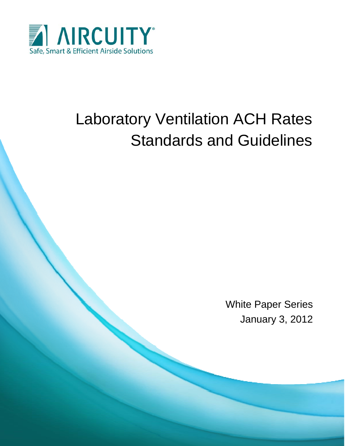

# Laboratory Ventilation ACH Rates Standards and Guidelines

White Paper Series January 3, 2012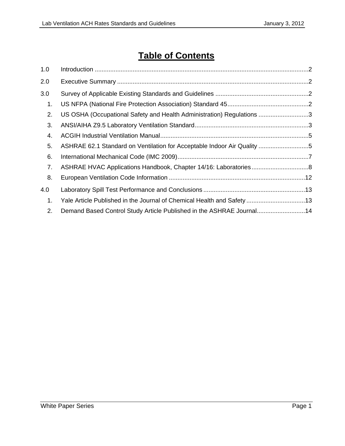# **Table of Contents**

| 1.0 |                                                                         |  |
|-----|-------------------------------------------------------------------------|--|
| 2.0 |                                                                         |  |
| 3.0 |                                                                         |  |
| 1.  |                                                                         |  |
| 2.  | US OSHA (Occupational Safety and Health Administration) Regulations 3   |  |
| 3.  |                                                                         |  |
| 4.  |                                                                         |  |
| 5.  | ASHRAE 62.1 Standard on Ventilation for Acceptable Indoor Air Quality 5 |  |
| 6.  |                                                                         |  |
| 7.  |                                                                         |  |
| 8.  |                                                                         |  |
| 4.0 |                                                                         |  |
| 1.  | Yale Article Published in the Journal of Chemical Health and Safety 13  |  |
| 2.  | Demand Based Control Study Article Published in the ASHRAE Journal14    |  |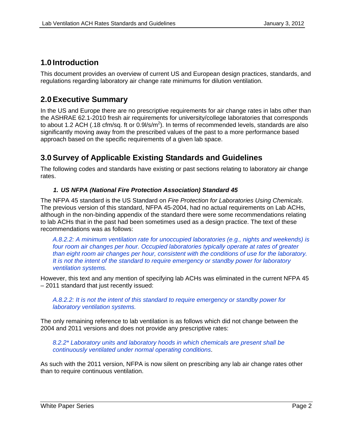# <span id="page-2-0"></span>**1.0 Introduction**

This document provides an overview of current US and European design practices, standards, and regulations regarding laboratory air change rate minimums for dilution ventilation.

# **2.0 Executive Summary**

In the US and Europe there are no prescriptive requirements for air change rates in labs other than the ASHRAE 62.1-2010 fresh air requirements for university/college laboratories that corresponds to about 1.2 ACH (.18 cfm/sq. ft or  $0.9$ l/s/m<sup>2</sup>). In terms of recommended levels, standards are also significantly moving away from the prescribed values of the past to a more performance based approach based on the specific requirements of a given lab space.

# **3.0 Survey of Applicable Existing Standards and Guidelines**

The following codes and standards have existing or past sections relating to laboratory air change rates.

# *1. US NFPA (National Fire Protection Association) Standard 45*

The NFPA 45 standard is the US Standard on *Fire Protection for Laboratories Using Chemicals*. The previous version of this standard, NFPA 45-2004, had no actual requirements on Lab ACHs, although in the non-binding appendix of the standard there were some recommendations relating to lab ACHs that in the past had been sometimes used as a design practice. The text of these recommendations was as follows:

*A.8.2.2: A minimum ventilation rate for unoccupied laboratories (e.g., nights and weekends) is*  four room air changes per hour. Occupied laboratories typically operate at rates of greater *than eight room air changes per hour, consistent with the conditions of use for the laboratory. It is not the intent of the standard to require emergency or standby power for laboratory ventilation systems.* 

However, this text and any mention of specifying lab ACHs was eliminated in the current NFPA 45 – 2011 standard that just recently issued:

*A.8.2.2: It is not the intent of this standard to require emergency or standby power for laboratory ventilation systems.* 

The only remaining reference to lab ventilation is as follows which did not change between the 2004 and 2011 versions and does not provide any prescriptive rates:

*8.2.2\* Laboratory units and laboratory hoods in which chemicals are present shall be continuously ventilated under normal operating conditions*.

As such with the 2011 version, NFPA is now silent on prescribing any lab air change rates other than to require continuous ventilation.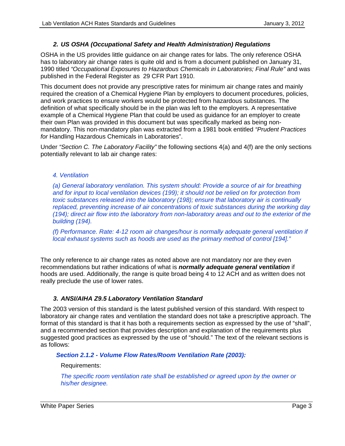## *2. US OSHA (Occupational Safety and Health Administration) Regulations*

<span id="page-3-0"></span>OSHA in the US provides little guidance on air change rates for labs. The only reference OSHA has to laboratory air change rates is quite old and is from a document published on January 31, 1990 titled *"Occupational Exposures to Hazardous Chemicals in Laboratories; Final Rule"* and was published in the Federal Register as 29 CFR Part 1910.

This document does not provide any prescriptive rates for minimum air change rates and mainly required the creation of a Chemical Hygiene Plan by employers to document procedures, policies, and work practices to ensure workers would be protected from hazardous substances. The definition of what specifically should be in the plan was left to the employers. A representative example of a Chemical Hygiene Plan that could be used as guidance for an employer to create their own Plan was provided in this document but was specifically marked as being nonmandatory. This non-mandatory plan was extracted from a 1981 book entitled *"Prudent Practices for* Handling Hazardous Chemicals in Laboratories".

Under *"Section C. The Laboratory Facility"* the following sections 4(a) and 4(f) are the only sections potentially relevant to lab air change rates:

#### *4. Ventilation*

*(a) General laboratory ventilation. This system should: Provide a source of air for breathing and for input to local ventilation devices (199); it should not be relied on for protection from toxic substances released into the laboratory (198); ensure that laboratory air is continually replaced, preventing increase of air concentrations of toxic substances during the working day (194); direct air flow into the laboratory from non-laboratory areas and out to the exterior of the building (194).* 

*(f) Performance. Rate: 4-12 room air changes/hour is normally adequate general ventilation if local exhaust systems such as hoods are used as the primary method of control [194]."* 

The only reference to air change rates as noted above are not mandatory nor are they even recommendations but rather indications of what is *normally adequate general ventilation* if hoods are used. Additionally, the range is quite broad being 4 to 12 ACH and as written does not really preclude the use of lower rates.

## *3. ANSI/AIHA Z9.5 Laboratory Ventilation Standard*

The 2003 version of this standard is the latest published version of this standard. With respect to laboratory air change rates and ventilation the standard does not take a prescriptive approach. The format of this standard is that it has both a requirements section as expressed by the use of "shall", and a recommended section that provides description and explanation of the requirements plus suggested good practices as expressed by the use of "should." The text of the relevant sections is as follows:

 *Section 2.1.2 - Volume Flow Rates/Room Ventilation Rate (2003):*

Requirements:

*The specific room ventilation rate shall be established or agreed upon by the owner or his/her designee.*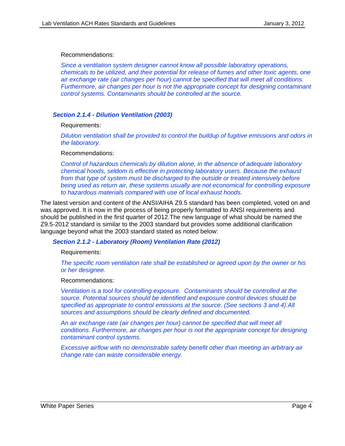#### Recommendations:

*Since a ventilation system designer cannot know all possible laboratory operations, chemicals to be utilized, and their potential for release of fumes and other toxic agents, one air exchange rate (air changes per hour) cannot be specified that will meet all conditions. Furthermore, air changes per hour is not the appropriate concept for designing contaminant control systems. Contaminants should be controlled at the source.* 

#### *Section 2.1.4 - Dilution Ventilation (2003)*

Requirements:

*Dilution ventilation shall be provided to control the buildup of fugitive emissions and odors in the laboratory.* 

#### Recommendations:

*Control of hazardous chemicals by dilution alone, in the absence of adequate laboratory chemical hoods, seldom is effective in protecting laboratory users. Because the exhaust from that type of system must be discharged to the outside or treated intensively before being used as return air, these systems usually are not economical for controlling exposure to hazardous materials compared with use of local exhaust hoods.* 

The latest version and content of the ANSI/AIHA Z9.5 standard has been completed, voted on and was approved. It is now in the process of being properly formatted to ANSI requirements and should be published in the first quarter of 2012.The new language of what should be named the Z9.5-2012 standard is similar to the 2003 standard but provides some additional clarification language beyond what the 2003 standard stated as noted below:

#### *Section 2.1.2 - Laboratory (Room) Ventilation Rate (2012)*

Requirements:

*The specific room ventilation rate shall be established or agreed upon by the owner or his or her designee.* 

Recommendations:

*Ventilation is a tool for controlling exposure. Contaminants should be controlled at the source. Potential sources should be identified and exposure control devices should be specified as appropriate to control emissions at the source. (See sections 3 and 4) All sources and assumptions should be clearly defined and documented.* 

*An air exchange rate (air changes per hour) cannot be specified that will meet all conditions. Furthermore, air changes per hour is not the appropriate concept for designing contaminant control systems.* 

*Excessive airflow with no demonstrable safety benefit other than meeting an arbitrary air change rate can waste considerable energy.*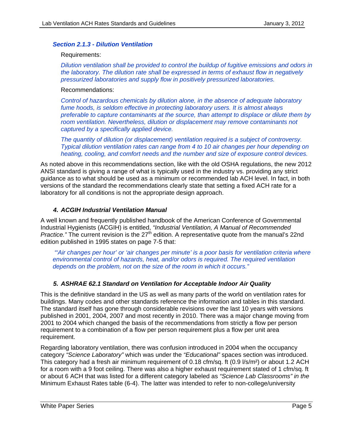#### <span id="page-5-0"></span>*Section 2.1.3 - Dilution Ventilation*

#### Requirements:

*Dilution ventilation shall be provided to control the buildup of fugitive emissions and odors in the laboratory. The dilution rate shall be expressed in terms of exhaust flow in negatively pressurized laboratories and supply flow in positively pressurized laboratories.* 

#### Recommendations:

*Control of hazardous chemicals by dilution alone, in the absence of adequate laboratory fume hoods, is seldom effective in protecting laboratory users. It is almost always preferable to capture contaminants at the source, than attempt to displace or dilute them by room ventilation. Nevertheless, dilution or displacement may remove contaminants not captured by a specifically applied device.* 

*The quantity of dilution (or displacement) ventilation required is a subject of controversy. Typical dilution ventilation rates can range from 4 to 10 air changes per hour depending on heating, cooling, and comfort needs and the number and size of exposure control devices.* 

As noted above in this recommendations section, like with the old OSHA regulations, the new 2012 ANSI standard is giving a range of what is typically used in the industry vs. providing any strict guidance as to what should be used as a minimum or recommended lab ACH level. In fact, in both versions of the standard the recommendations clearly state that setting a fixed ACH rate for a laboratory for all conditions is not the appropriate design approach.

#### *4. ACGIH Industrial Ventilation Manual*

A well known and frequently published handbook of the American Conference of Governmental Industrial Hygienists (ACGIH) is entitled, *"Industrial Ventilation, A Manual of Recommended Practice."* The current revision is the 27<sup>th</sup> edition. A representative quote from the manual's 22nd edition published in 1995 states on page 7-5 that:

 *"'Air changes per hour' or 'air changes per minute' is a poor basis for ventilation criteria where environmental control of hazards, heat, and/or odors is required. The required ventilation depends on the problem, not on the size of the room in which it occurs."* 

## *5. ASHRAE 62.1 Standard on Ventilation for Acceptable Indoor Air Quality*

This is the definitive standard in the US as well as many parts of the world on ventilation rates for buildings. Many codes and other standards reference the information and tables in this standard. The standard itself has gone through considerable revisions over the last 10 years with versions published in 2001, 2004, 2007 and most recently in 2010. There was a major change moving from 2001 to 2004 which changed the basis of the recommendations from strictly a flow per person requirement to a combination of a flow per person requirement plus a flow per unit area requirement.

Regarding laboratory ventilation, there was confusion introduced in 2004 when the occupancy category *"Science Laboratory"* which was under the *"Educational"* spaces section was introduced. This category had a fresh air minimum requirement of 0.18 cfm/sq. ft (0.9 l/s/m²) or about 1.2 ACH for a room with a 9 foot ceiling. There was also a higher exhaust requirement stated of 1 cfm/sq. ft or about 6 ACH that was listed for a different category labeled as *"Science Lab Classrooms" in the*  Minimum Exhaust Rates table (6-4). The latter was intended to refer to non-college/university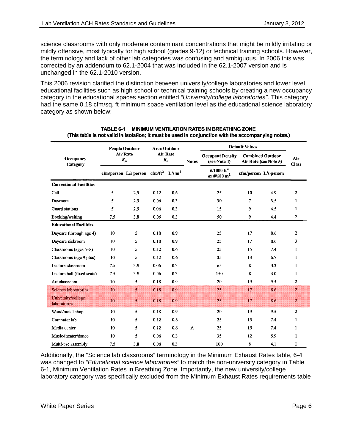science classrooms with only moderate contaminant concentrations that might be mildly irritating or mildly offensive, most typically for high school (grades 9-12) or technical training schools. However, the terminology and lack of other lab categories was confusing and ambiguous. In 2006 this was corrected by an addendum to 62.1-2004 that was included in the 62.1-2007 version and is unchanged in the 62.1-2010 version.

This 2006 revision clarified the distinction between university/college laboratories and lower level educational facilities such as high school or technical training schools by creating a new occupancy category in the educational spaces section entitled *"University/college laboratories"*. This category had the same 0.18 cfm/sq. ft minimum space ventilation level as the educational science laboratory category as shown below:

|                                           | <b>People Outdoor</b><br><b>Air Rate</b><br>$R_p$ |                                                              | <b>Area Outdoor</b><br>Air Rate<br>$R_a$ |     |              | <b>Default Values</b>                    |                                                  |     |                     |
|-------------------------------------------|---------------------------------------------------|--------------------------------------------------------------|------------------------------------------|-----|--------------|------------------------------------------|--------------------------------------------------|-----|---------------------|
| Occupancy<br>Category                     |                                                   |                                                              |                                          |     | <b>Notes</b> | <b>Occupant Density</b><br>(see Note 4)  | <b>Combined Outdoor</b><br>Air Rate (see Note 5) |     | Air<br><b>Class</b> |
|                                           |                                                   | cfm/person L/s person cfm/ft <sup>2</sup> L/s m <sup>2</sup> |                                          |     |              | #/1000 ft <sup>2</sup><br>or #/100 $m^2$ | cfm/person L/s person                            |     |                     |
| <b>Correctional Facilities</b>            |                                                   |                                                              |                                          |     |              |                                          |                                                  |     |                     |
| Cell                                      | 5                                                 | 2,5                                                          | 0.12                                     | 0.6 |              | 25                                       | 10                                               | 4.9 | 2                   |
| Dayroom                                   | 5                                                 | 2.5                                                          | 0.06                                     | 0.3 |              | 30                                       | $\mathbf 7$                                      | 3.5 | 1                   |
| <b>Guard stations</b>                     | 5                                                 | 2.5                                                          | 0.06                                     | 0.3 |              | 15                                       | 9                                                | 4.5 | 1                   |
| Booking/waiting                           | 7.5                                               | 3.8                                                          | 0.06                                     | 0.3 |              | 50                                       | 9                                                | 4.4 | 2                   |
| <b>Educational Facilities</b>             |                                                   |                                                              |                                          |     |              |                                          |                                                  |     |                     |
| Daycare (through age 4)                   | 10                                                | 5                                                            | 0.18                                     | 0.9 |              | 25                                       | 17                                               | 8.6 | 2                   |
| Daycare sickroom                          | 10                                                | 5                                                            | 0.18                                     | 0.9 |              | 25                                       | 17                                               | 8.6 | 3                   |
| Classrooms (ages 5–8)                     | 10                                                | 5                                                            | 0.12                                     | 0.6 |              | 25                                       | 15                                               | 7.4 | 1                   |
| Classrooms (age 9 plus)                   | 10                                                | 5                                                            | 0.12                                     | 0.6 |              | 35                                       | 13                                               | 6.7 | 1                   |
| Lecture classroom                         | 7.5                                               | 3.8                                                          | 0.06                                     | 0.3 |              | 65                                       | 8                                                | 4.3 | 1                   |
| Lecture hall (fixed seats)                | 7.5                                               | 3.8                                                          | 0.06                                     | 0.3 |              | 150                                      | 8                                                | 4.0 | 1                   |
| Art classroom                             | 10                                                | 5                                                            | 0.18                                     | 0.9 |              | 20                                       | 19                                               | 9.5 | $\overline{2}$      |
| <b>Science laboratories</b>               | 10                                                | 5                                                            | 0.18                                     | 0.9 |              | 25                                       | 17                                               | 8.6 | $\overline{2}$      |
| University/college<br><b>laboratories</b> | 10                                                | 5                                                            | 0.18                                     | 0.9 |              | 25                                       | 17                                               | 8.6 | $\overline{2}$      |
| Wood/metal shop                           | 10                                                | 5                                                            | 0.18                                     | 0.9 |              | 20                                       | 19                                               | 9.5 | $\overline{2}$      |
| Computer lab                              | 10                                                | 5                                                            | 0.12                                     | 0.6 |              | 25                                       | 15                                               | 7.4 | $\mathbf{1}$        |
| Media center                              | 10                                                | 5                                                            | 0.12                                     | 0.6 | A            | 25                                       | 15                                               | 7.4 | $\mathbf{1}$        |
| Music/theater/dance                       | 10                                                | 5                                                            | 0.06                                     | 0.3 |              | 35                                       | 12                                               | 5.9 | 1                   |
| Multi-use assembly                        | 7.5                                               | 3.8                                                          | 0.06                                     | 0.3 |              | 100                                      | 8                                                | 4.1 | 1                   |

| TABLE 6-1 | <b>MINIMUM VENTILATION RATES IN BREATHING ZONE</b>                                                  |
|-----------|-----------------------------------------------------------------------------------------------------|
|           | (This table is not valid in isolation: it must be used in conjunction with the accompanying notes.) |

Additionally, the "Science lab classrooms" terminology in the Minimum Exhaust Rates table, 6-4 was changed to *"Educational science laboratories"* to match the non-university category in Table 6-1, Minimum Ventilation Rates in Breathing Zone. Importantly, the new university/college laboratory category was specifically excluded from the Minimum Exhaust Rates requirements table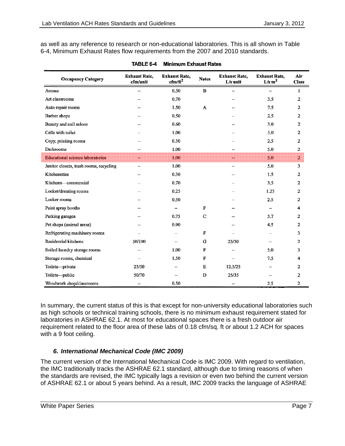<span id="page-7-0"></span>as well as any reference to research or non-educational laboratories. This is all shown in Table 6-4, Minimum Exhaust Rates flow requirements from the 2007 and 2010 standards.

| <b>Occupancy Category</b>               | <b>Exhaust Rate,</b><br>cfm/unit | <b>Exhaust Rate,</b><br>$cfm/ft^2$ | <b>Notes</b> | <b>Exhaust Rate,</b><br>$L/s$ unit | <b>Exhaust Rate,</b><br>$L/s \, m^2$ | Air<br><b>Class</b> |
|-----------------------------------------|----------------------------------|------------------------------------|--------------|------------------------------------|--------------------------------------|---------------------|
| Arenas                                  |                                  | 0.50                               | B            |                                    | $\overline{\phantom{0}}$             | 1                   |
| Art classrooms                          |                                  | 0.70                               |              |                                    | 3.5                                  | $\overline{2}$      |
| Auto repair rooms                       |                                  | 1.50                               | A            |                                    | 7.5                                  | $\overline{2}$      |
| Barber shops                            |                                  | 0.50                               |              |                                    | 2.5                                  | $\overline{a}$      |
| Beauty and nail salons                  |                                  | 0.60                               |              |                                    | 3.0                                  | 2                   |
| Cells with toilet                       |                                  | 1.00                               |              |                                    | 5.0                                  | $\overline{2}$      |
| Copy, printing rooms                    |                                  | 0.50                               |              |                                    | 2.5                                  | 2                   |
| Darkrooms                               |                                  | 1.00                               |              | ш.                                 | 5.0                                  | 2                   |
| <b>Educational science laboratories</b> | ₩                                | 1.00                               |              | ₩                                  | 5.0                                  | $\overline{2}$      |
| Janitor closets, trash rooms, recycling | -                                | 1.00                               |              | $\overline{\phantom{0}}$           | 5.0                                  | 3                   |
| Kitchenettes                            | --                               | 0.30                               |              |                                    | 1.5                                  | 2                   |
| Kitchens-commercial                     |                                  | 0.70                               |              |                                    | 3.5                                  | 2                   |
| Locker/dressing rooms                   |                                  | 0.25                               |              |                                    | 1.25                                 | $\overline{2}$      |
| Locker rooms                            |                                  | 0.50                               |              |                                    | 2.5                                  | $\mathbf{z}$        |
| Paint spray booths                      |                                  | $\overline{\phantom{0}}$           | F            |                                    |                                      | 4                   |
| Parking garages                         |                                  | 0.75                               | C            | $\overline{\phantom{0}}$           | 3.7                                  | 2                   |
| Pet shops (animal areas)                |                                  | 0.90                               |              |                                    | 4.5                                  | $\overline{2}$      |
| Refrigerating machinery rooms           |                                  |                                    | F            |                                    |                                      | 3                   |
| Residential kitchens                    | 50/100                           |                                    | G            | 25/50                              |                                      | $\mathbf{2}$        |
| Soiled laundry storage rooms            |                                  | 1.00                               | F            |                                    | 5.0                                  | 3                   |
| Storage rooms, chemical                 |                                  | 1.50                               | F            |                                    | 7.5                                  | 4                   |
| Toilets-private                         | 25/50                            |                                    | E            | 12.5/25                            |                                      | $\overline{2}$      |
| Toilets-public                          | 50/70                            |                                    | D            | 25/35                              |                                      | $\mathbf{2}$        |
| Woodwork shop/classrooms                |                                  | 0.50                               |              | $\overline{\phantom{0}}$           | 2.5                                  | 2                   |

| <b>TABLE 6-4</b> |  | Minimum Exhaust Rates |  |
|------------------|--|-----------------------|--|
|                  |  |                       |  |

In summary, the current status of this is that except for non-university educational laboratories such as high schools or technical training schools, there is no minimum exhaust requirement stated for laboratories in ASHRAE 62.1. At most for educational spaces there is a fresh outdoor air requirement related to the floor area of these labs of 0.18 cfm/sq. ft or about 1.2 ACH for spaces with a 9 foot ceiling.

# *6. International Mechanical Code (IMC 2009)*

The current version of the International Mechanical Code is IMC 2009. With regard to ventilation, the IMC traditionally tracks the ASHRAE 62.1 standard, although due to timing reasons of when the standards are revised, the IMC typically lags a revision or even two behind the current version of ASHRAE 62.1 or about 5 years behind. As a result, IMC 2009 tracks the language of ASHRAE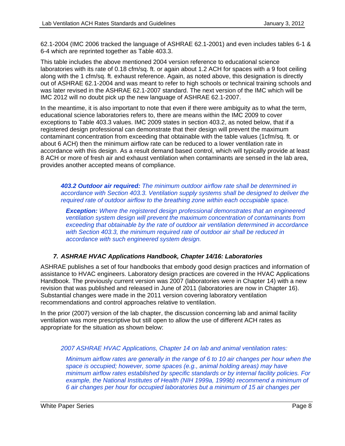<span id="page-8-0"></span>62.1-2004 (IMC 2006 tracked the language of ASHRAE 62.1-2001) and even includes tables 6-1 & 6-4 which are reprinted together as Table 403.3.

This table includes the above mentioned 2004 version reference to educational science laboratories with its rate of 0.18 cfm/sq. ft. or again about 1.2 ACH for spaces with a 9 foot ceiling along with the 1 cfm/sq. ft. exhaust reference. Again, as noted above, this designation is directly out of ASHRAE 62.1-2004 and was meant to refer to high schools or technical training schools and was later revised in the ASHRAE 62.1-2007 standard. The next version of the IMC which will be IMC 2012 will no doubt pick up the new language of ASHRAE 62.1-2007.

In the meantime, it is also important to note that even if there were ambiguity as to what the term, educational science laboratories refers to, there are means within the IMC 2009 to cover exceptions to Table 403.3 values. IMC 2009 states in section 403.2, as noted below, that if a registered design professional can demonstrate that their design will prevent the maximum contaminant concentration from exceeding that obtainable with the table values (1cfm/sq. ft. or about 6 ACH) then the minimum airflow rate can be reduced to a lower ventilation rate in accordance with this design. As a result demand based control, which will typically provide at least 8 ACH or more of fresh air and exhaust ventilation when contaminants are sensed in the lab area, provides another accepted means of compliance.

*403.2 Outdoor air required: The minimum outdoor airflow rate shall be determined in accordance with Section 403.3. Ventilation supply systems shall be designed to deliver the required rate of outdoor airflow to the breathing zone within each occupiable space.* 

*Exception: Where the registered design professional demonstrates that an engineered ventilation system design will prevent the maximum concentration of contaminants from exceeding that obtainable by the rate of outdoor air ventilation determined in accordance with Section 403.3, the minimum required rate of outdoor air shall be reduced in accordance with such engineered system design.* 

# *7. ASHRAE HVAC Applications Handbook, Chapter 14/16: Laboratories*

ASHRAE publishes a set of four handbooks that embody good design practices and information of assistance to HVAC engineers. Laboratory design practices are covered in the HVAC Applications Handbook. The previously current version was 2007 (laboratories were in Chapter 14) with a new revision that was published and released in June of 2011 (laboratories are now in Chapter 16). Substantial changes were made in the 2011 version covering laboratory ventilation recommendations and control approaches relative to ventilation.

In the prior (2007) version of the lab chapter, the discussion concerning lab and animal facility ventilation was more prescriptive but still open to allow the use of different ACH rates as appropriate for the situation as shown below:

# *2007 ASHRAE HVAC Applications, Chapter 14 on lab and animal ventilation rates:*

*Minimum airflow rates are generally in the range of 6 to 10 air changes per hour when the space is occupied; however, some spaces (e.g., animal holding areas) may have minimum airflow rates established by specific standards or by internal facility policies. For example, the National Institutes of Health (NIH 1999a, 1999b) recommend a minimum of 6 air changes per hour for occupied laboratories but a minimum of 15 air changes per*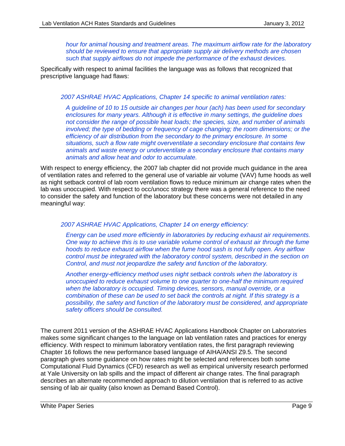*hour for animal housing and treatment areas. The maximum airflow rate for the laboratory should be reviewed to ensure that appropriate supply air delivery methods are chosen such that supply airflows do not impede the performance of the exhaust devices.* 

Specifically with respect to animal facilities the language was as follows that recognized that prescriptive language had flaws:

#### *2007 ASHRAE HVAC Applications, Chapter 14 specific to animal ventilation rates:*

*A guideline of 10 to 15 outside air changes per hour (ach) has been used for secondary enclosures for many years. Although it is effective in many settings, the guideline does not consider the range of possible heat loads; the species, size, and number of animals involved; the type of bedding or frequency of cage changing; the room dimensions; or the efficiency of air distribution from the secondary to the primary enclosure. In some situations, such a flow rate might overventilate a secondary enclosure that contains few animals and waste energy or underventilate a secondary enclosure that contains many animals and allow heat and odor to accumulate.* 

With respect to energy efficiency, the 2007 lab chapter did not provide much guidance in the area of ventilation rates and referred to the general use of variable air volume (VAV) fume hoods as well as night setback control of lab room ventilation flows to reduce minimum air change rates when the lab was unoccupied. With respect to occ/unocc strategy there was a general reference to the need to consider the safety and function of the laboratory but these concerns were not detailed in any meaningful way:

#### *2007 ASHRAE HVAC Applications, Chapter 14 on energy efficiency:*

*Energy can be used more efficiently in laboratories by reducing exhaust air requirements. One way to achieve this is to use variable volume control of exhaust air through the fume hoods to reduce exhaust airflow when the fume hood sash is not fully open. Any airflow control must be integrated with the laboratory control system, described in the section on Control, and must not jeopardize the safety and function of the laboratory.* 

*Another energy-efficiency method uses night setback controls when the laboratory is unoccupied to reduce exhaust volume to one quarter to one-half the minimum required when the laboratory is occupied. Timing devices, sensors, manual override, or a combination of these can be used to set back the controls at night. If this strategy is a possibility, the safety and function of the laboratory must be considered, and appropriate safety officers should be consulted.*

The current 2011 version of the ASHRAE HVAC Applications Handbook Chapter on Laboratories makes some significant changes to the language on lab ventilation rates and practices for energy efficiency. With respect to minimum laboratory ventilation rates, the first paragraph reviewing Chapter 16 follows the new performance based language of AIHA/ANSI Z9.5. The second paragraph gives some guidance on how rates might be selected and references both some Computational Fluid Dynamics (CFD) research as well as empirical university research performed at Yale University on lab spills and the impact of different air change rates. The final paragraph describes an alternate recommended approach to dilution ventilation that is referred to as active sensing of lab air quality (also known as Demand Based Control).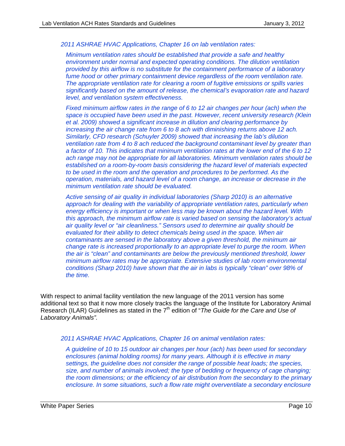*2011 ASHRAE HVAC Applications, Chapter 16 on lab ventilation rates:* 

*Minimum ventilation rates should be established that provide a safe and healthy environment under normal and expected operating conditions. The dilution ventilation provided by this airflow is no substitute for the containment performance of a laboratory fume hood or other primary containment device regardless of the room ventilation rate. The appropriate ventilation rate for clearing a room of fugitive emissions or spills varies significantly based on the amount of release, the chemical's evaporation rate and hazard level, and ventilation system effectiveness.* 

*Fixed minimum airflow rates in the range of 6 to 12 air changes per hour (ach) when the space is occupied have been used in the past. However, recent university research (Klein et al. 2009) showed a significant increase in dilution and clearing performance by increasing the air change rate from 6 to 8 ach with diminishing returns above 12 ach. Similarly, CFD research (Schuyler 2009) showed that increasing the lab's dilution ventilation rate from 4 to 8 ach reduced the background contaminant level by greater than a factor of 10. This indicates that minimum ventilation rates at the lower end of the 6 to 12 ach range may not be appropriate for all laboratories. Minimum ventilation rates should be established on a room-by-room basis considering the hazard level of materials expected to be used in the room and the operation and procedures to be performed. As the operation, materials, and hazard level of a room change, an increase or decrease in the minimum ventilation rate should be evaluated.* 

*Active sensing of air quality in individual laboratories (Sharp 2010) is an alternative approach for dealing with the variability of appropriate ventilation rates, particularly when energy efficiency is important or when less may be known about the hazard level. With this approach, the minimum airflow rate is varied based on sensing the laboratory's actual air quality level or "air cleanliness." Sensors used to determine air quality should be evaluated for their ability to detect chemicals being used in the space. When air contaminants are sensed in the laboratory above a given threshold, the minimum air change rate is increased proportionally to an appropriate level to purge the room. When the air is "clean" and contaminants are below the previously mentioned threshold, lower minimum airflow rates may be appropriate. Extensive studies of lab room environmental conditions (Sharp 2010) have shown that the air in labs is typically "clean" over 98% of the time.*

With respect to animal facility ventilation the new language of the 2011 version has some additional text so that it now more closely tracks the language of the Institute for Laboratory Animal Research (ILAR) Guidelines as stated in the 7th edition of "*The Guide for the Care and Use of Laboratory Animals".* 

*2011 ASHRAE HVAC Applications, Chapter 16 on animal ventilation rates:* 

*A guideline of 10 to 15 outdoor air changes per hour (ach) has been used for secondary enclosures (animal holding rooms) for many years. Although it is effective in many settings, the guideline does not consider the range of possible heat loads; the species, size, and number of animals involved; the type of bedding or frequency of cage changing; the room dimensions; or the efficiency of air distribution from the secondary to the primary enclosure. In some situations, such a flow rate might overventilate a secondary enclosure*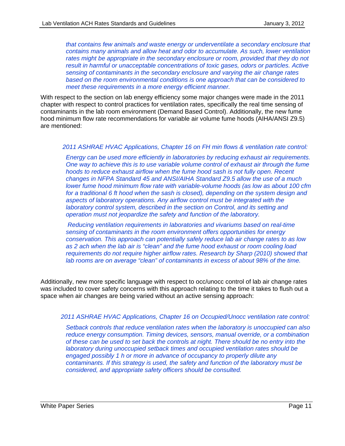*that contains few animals and waste energy or underventilate a secondary enclosure that contains many animals and allow heat and odor to accumulate. As such, lower ventilation*  rates might be appropriate in the secondary enclosure or room, provided that they do not *result in harmful or unacceptable concentrations of toxic gases, odors or particles. Active sensing of contaminants in the secondary enclosure and varying the air change rates based on the room environmental conditions is one approach that can be considered to meet these requirements in a more energy efficient manner.* 

With respect to the section on lab energy efficiency some major changes were made in the 2011 chapter with respect to control practices for ventilation rates, specifically the real time sensing of contaminants in the lab room environment (Demand Based Control). Additionally, the new fume hood minimum flow rate recommendations for variable air volume fume hoods (AIHA/ANSI Z9.5) are mentioned:

#### *2011 ASHRAE HVAC Applications, Chapter 16 on FH min flows & ventilation rate control:*

*Energy can be used more efficiently in laboratories by reducing exhaust air requirements. One way to achieve this is to use variable volume control of exhaust air through the fume hoods to reduce exhaust airflow when the fume hood sash is not fully open. Recent changes in NFPA Standard 45 and ANSI/AIHA Standard Z9.5 allow the use of a much lower fume hood minimum flow rate with variable-volume hoods (as low as about 100 cfm for a traditional 6 ft hood when the sash is closed), depending on the system design and aspects of laboratory operations. Any airflow control must be integrated with the laboratory control system, described in the section on Control, and its setting and operation must not jeopardize the safety and function of the laboratory.* 

*Reducing ventilation requirements in laboratories and vivariums based on real-time sensing of contaminants in the room environment offers opportunities for energy conservation. This approach can potentially safely reduce lab air change rates to as low as 2 ach when the lab air is "clean" and the fume hood exhaust or room cooling load requirements do not require higher airflow rates. Research by Sharp (2010) showed that lab rooms are on average "clean" of contaminants in excess of about 98% of the time.* 

Additionally, new more specific language with respect to occ/unocc control of lab air change rates was included to cover safety concerns with this approach relating to the time it takes to flush out a space when air changes are being varied without an active sensing approach:

#### *2011 ASHRAE HVAC Applications, Chapter 16 on Occupied/Unocc ventilation rate control:*

*Setback controls that reduce ventilation rates when the laboratory is unoccupied can also reduce energy consumption. Timing devices, sensors, manual override, or a combination of these can be used to set back the controls at night. There should be no entry into the laboratory during unoccupied setback times and occupied ventilation rates should be engaged possibly 1 h or more in advance of occupancy to properly dilute any contaminants. If this strategy is used, the safety and function of the laboratory must be considered, and appropriate safety officers should be consulted.*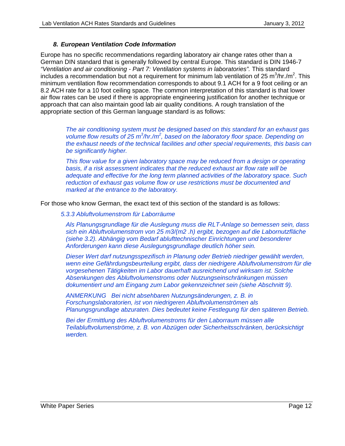## *8. European Ventilation Code Information*

<span id="page-12-0"></span>Europe has no specific recommendations regarding laboratory air change rates other than a German DIN standard that is generally followed by central Europe. This standard is DIN 1946-7 *"Ventilation and air conditioning - Part 7: Ventilation systems in laboratories".* This standard includes a recommendation but not a requirement for minimum lab ventilation of 25 m<sup>3</sup>/hr./m<sup>2</sup>. This minimum ventilation flow recommendation corresponds to about 9.1 ACH for a 9 foot ceiling or an 8.2 ACH rate for a 10 foot ceiling space. The common interpretation of this standard is that lower air flow rates can be used if there is appropriate engineering justification for another technique or approach that can also maintain good lab air quality conditions. A rough translation of the appropriate section of this German language standard is as follows:

*The air conditioning system must be designed based on this standard for an exhaust gas*  volume flow results of 25 m<sup>3</sup>/hr./m<sup>2</sup>, based on the laboratory floor space. Depending on *the exhaust needs of the technical facilities and other special requirements, this basis can be significantly higher.* 

*This flow value for a given laboratory space may be reduced from a design or operating basis, if a risk assessment indicates that the reduced exhaust air flow rate will be adequate and effective for the long term planned activities of the laboratory space. Such reduction of exhaust gas volume flow or use restrictions must be documented and marked at the entrance to the laboratory.* 

For those who know German, the exact text of this section of the standard is as follows:

*5.3.3 Abluftvolumenstrom für Laborräume* 

*Als Planungsgrundlage für die Auslegung muss die RLT-Anlage so bemessen sein, dass sich ein Abluftvolumenstrom von 25 m3/(m2 .h) ergibt, bezogen auf die Labornutzfläche (siehe 3.2). Abhängig vom Bedarf ablufttechnischer Einrichtungen und besonderer Anforderungen kann diese Auslegungsgrundlage deutlich höher sein.* 

*Dieser Wert darf nutzungsspezifisch in Planung oder Betrieb niedriger gewählt werden, wenn eine Gefährdungsbeurteilung ergibt, dass der niedrigere Abluftvolumenstrom für die vorgesehenen Tätigkeiten im Labor dauerhaft ausreichend und wirksam ist. Solche Absenkungen des Abluftvolumenstroms oder Nutzungseinschränkungen müssen dokumentiert und am Eingang zum Labor gekennzeichnet sein (siehe Abschnitt 9).* 

*ANMERKUNG Bei nicht absehbaren Nutzungsänderungen, z. B. in Forschungslaboratorien, ist von niedrigeren Abluftvolumenströmen als Planungsgrundlage abzuraten. Dies bedeutet keine Festlegung für den späteren Betrieb.* 

*Bei der Ermittlung des Abluftvolumenstroms für den Laborraum müssen alle Teilabluftvolumenströme, z. B. von Abzügen oder Sicherheitsschränken, berücksichtigt werden.*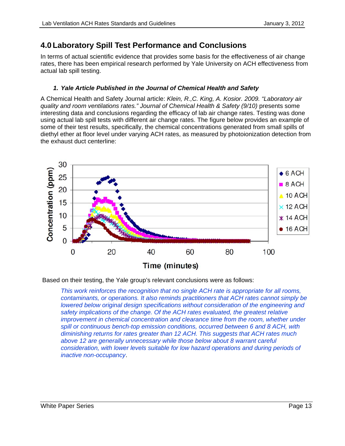# <span id="page-13-0"></span>**4.0 Laboratory Spill Test Performance and Conclusions**

In terms of actual scientific evidence that provides some basis for the effectiveness of air change rates, there has been empirical research performed by Yale University on ACH effectiveness from actual lab spill testing.

# *1. Yale Article Published in the Journal of Chemical Health and Safety*

A Chemical Health and Safety Journal article: *Klein, R.,C. King, A. Kosior. 2009. "Laboratory air quality and room ventilations rates." Journal of Chemical Health & Safety (9/10)* presents some interesting data and conclusions regarding the efficacy of lab air change rates. Testing was done using actual lab spill tests with different air change rates. The figure below provides an example of some of their test results, specifically, the chemical concentrations generated from small spills of diethyl ether at floor level under varying ACH rates, as measured by photoionization detection from the exhaust duct centerline:



Based on their testing, the Yale group's relevant conclusions were as follows:

*This work reinforces the recognition that no single ACH rate is appropriate for all rooms, contaminants, or operations. It also reminds practitioners that ACH rates cannot simply be lowered below original design specifications without consideration of the engineering and safety implications of the change. Of the ACH rates evaluated, the greatest relative improvement in chemical concentration and clearance time from the room, whether under spill or continuous bench-top emission conditions, occurred between 6 and 8 ACH, with diminishing returns for rates greater than 12 ACH. This suggests that ACH rates much above 12 are generally unnecessary while those below about 8 warrant careful consideration, with lower levels suitable for low hazard operations and during periods of inactive non-occupancy*.